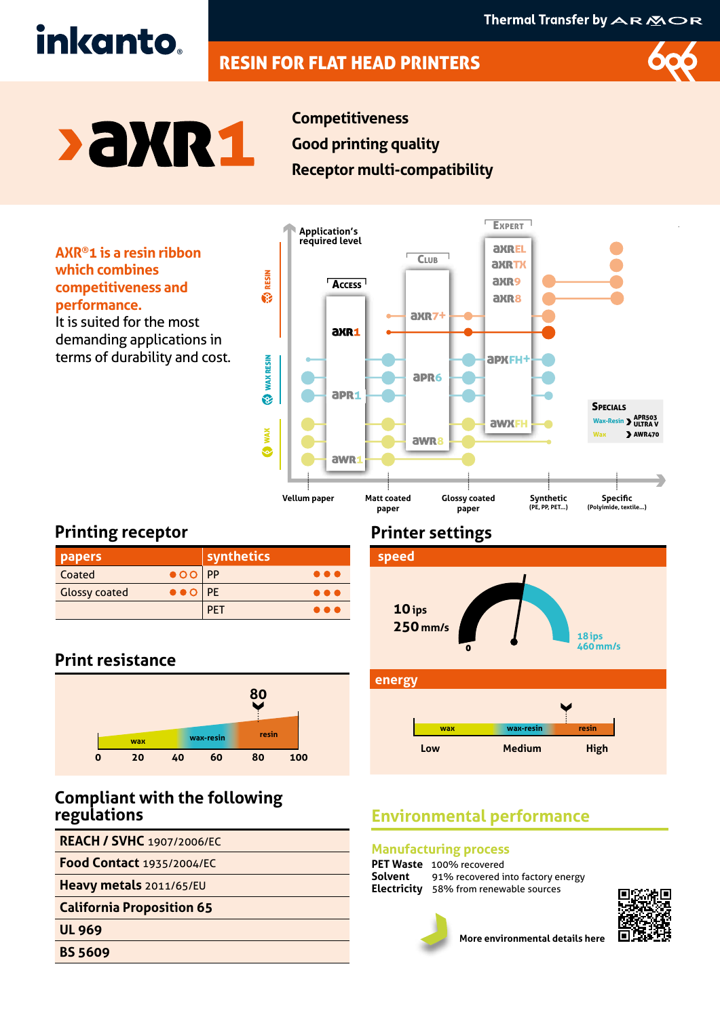# RESIN FOR FLAT HEAD PRINTERS



# **>aXR1**

inkanto.

**Competitiveness Good printing quality Receptor multi-compatibility**

**AXR®1 is a resin ribbon which combines competitiveness and performance.**  It is suited for the most

demanding applications in terms of durability and cost.



# **Printing receptor**

| papers                                               | $\overline{\phantom{a}}$ synthetics $\overline{\phantom{a}}$ |
|------------------------------------------------------|--------------------------------------------------------------|
| $\bullet$ OO PP<br>Coated                            | $\bullet\bullet\bullet$                                      |
| $\bullet \bullet \circ  $ PE<br><b>Glossy coated</b> | $\bullet\bullet\bullet$                                      |
|                                                      | PF I<br><b>A &amp; r</b>                                     |

# **Print resistance**



## **Compliant with the following regulations**

**REACH / SVHC** 1907/2006/EC

**Food Contact** 1935/2004/EC

**Heavy metals** 2011/65/EU

**California Proposition 65**

**UL 969**

**BS 5609**

# **Printer settings**



# **Environmental performance**

### **Manufacturing process**

**PET Waste** 100% recovered<br>**Solvent** 91% recovered i 91% recovered into factory energy **Electricity** 58% from renewable sources



**More environmental details here**